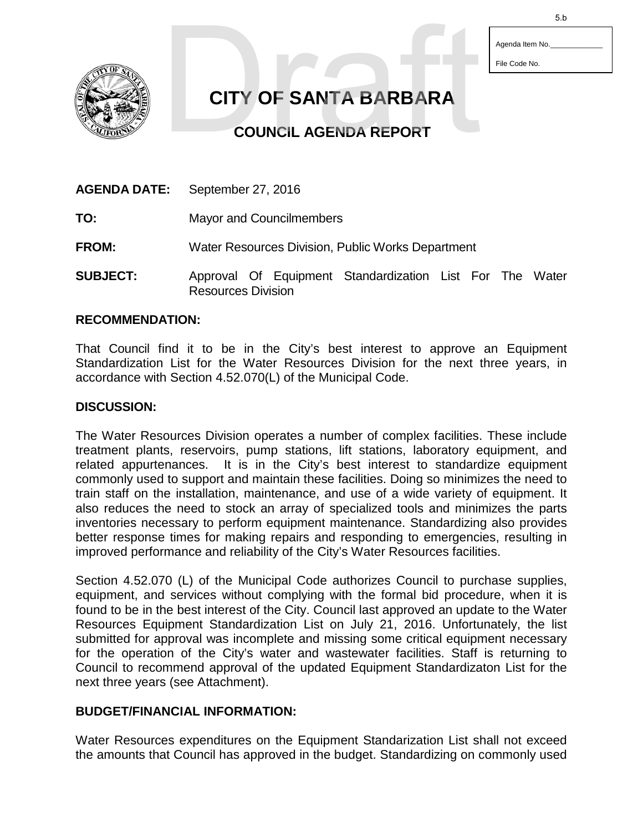Agenda Item No.

File Code No.



**CITY OF SANTA BARBARA** 5.b<br>
CITY OF SANTA BARBARA<br>
COUNCIL AGENDA REPORT

**COUNCIL AGENDA REPORT**

| <b>AGENDA DATE:</b> | September 27, 2016                                |  |  |                                                    |  |  |  |       |
|---------------------|---------------------------------------------------|--|--|----------------------------------------------------|--|--|--|-------|
| TO:                 | <b>Mayor and Councilmembers</b>                   |  |  |                                                    |  |  |  |       |
| <b>FROM:</b>        | Water Resources Division, Public Works Department |  |  |                                                    |  |  |  |       |
| <b>SUBJECT:</b>     |                                                   |  |  | Approval Of Equipment Standardization List For The |  |  |  | Water |

Resources Division

### **RECOMMENDATION:**

That Council find it to be in the City's best interest to approve an Equipment Standardization List for the Water Resources Division for the next three years, in accordance with Section 4.52.070(L) of the Municipal Code.

#### **DISCUSSION:**

The Water Resources Division operates a number of complex facilities. These include treatment plants, reservoirs, pump stations, lift stations, laboratory equipment, and related appurtenances. It is in the City's best interest to standardize equipment commonly used to support and maintain these facilities. Doing so minimizes the need to train staff on the installation, maintenance, and use of a wide variety of equipment. It also reduces the need to stock an array of specialized tools and minimizes the parts inventories necessary to perform equipment maintenance. Standardizing also provides better response times for making repairs and responding to emergencies, resulting in improved performance and reliability of the City's Water Resources facilities.

Section 4.52.070 (L) of the Municipal Code authorizes Council to purchase supplies, equipment, and services without complying with the formal bid procedure, when it is found to be in the best interest of the City. Council last approved an update to the Water Resources Equipment Standardization List on July 21, 2016. Unfortunately, the list submitted for approval was incomplete and missing some critical equipment necessary for the operation of the City's water and wastewater facilities. Staff is returning to Council to recommend approval of the updated Equipment Standardizaton List for the next three years (see Attachment).

#### **BUDGET/FINANCIAL INFORMATION:**

Water Resources expenditures on the Equipment Standarization List shall not exceed the amounts that Council has approved in the budget. Standardizing on commonly used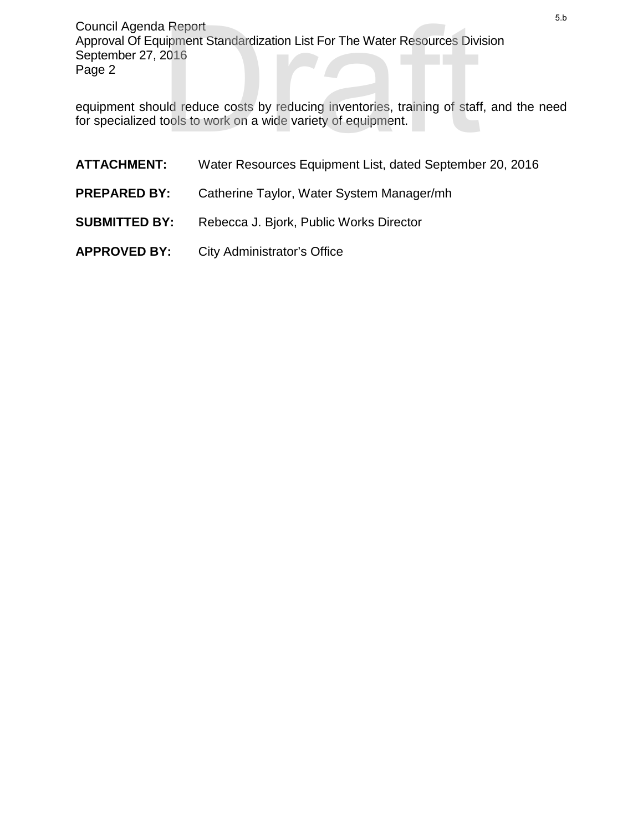Council Agenda Report Approval Of Equipment Standardization List For The Water Resources Division September 27, 2016 Page 2 <sup>5.b</sup><br>
ilpment Standardization List For The Water Resources Division<br>
2016<br>
uld reduce costs by reducing inventories, training of staff, and the need<br>
tools to work on a wide variety of equipment.<br>
The Water Resources Equi

equipment should reduce costs by reducing inventories, training of staff, and the need for specialized tools to work on a wide variety of equipment.

**ATTACHMENT:** Water Resources Equipment List, dated September 20, 2016 **PREPARED BY:** Catherine Taylor, Water System Manager/mh **SUBMITTED BY:** Rebecca J. Bjork, Public Works Director **APPROVED BY:** City Administrator's Office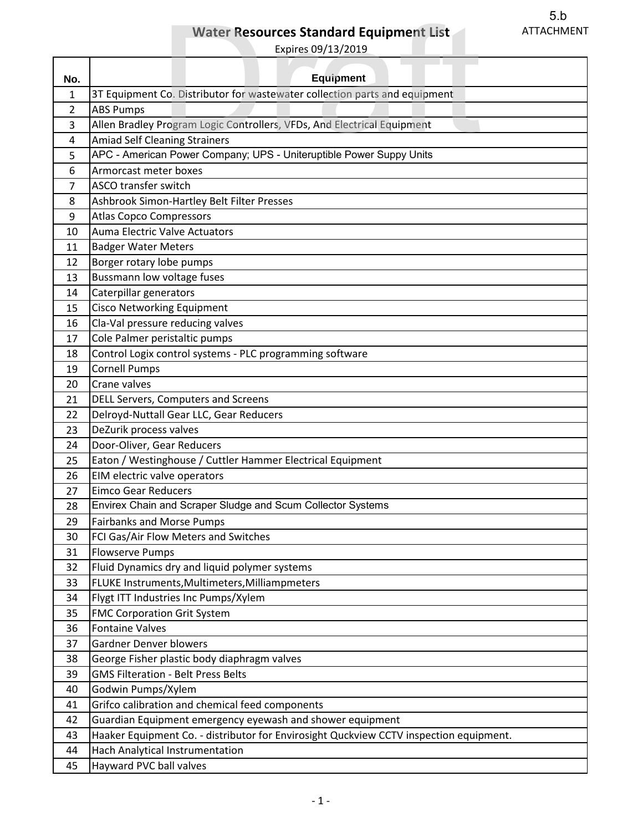# **Water Resources Standard Equipment List**

|                |                                                                                            | 5.b               |  |  |  |
|----------------|--------------------------------------------------------------------------------------------|-------------------|--|--|--|
|                | <b>Water Resources Standard Equipment List</b>                                             | <b>ATTACHMENT</b> |  |  |  |
|                | Expires 09/13/2019                                                                         |                   |  |  |  |
|                |                                                                                            |                   |  |  |  |
| No.            | <b>Equipment</b>                                                                           |                   |  |  |  |
| 1              | 3T Equipment Co. Distributor for wastewater collection parts and equipment                 |                   |  |  |  |
| $\overline{2}$ | <b>ABS Pumps</b>                                                                           |                   |  |  |  |
| 3              | Allen Bradley Program Logic Controllers, VFDs, And Electrical Equipment                    |                   |  |  |  |
| 4              | <b>Amiad Self Cleaning Strainers</b>                                                       |                   |  |  |  |
| 5              | APC - American Power Company; UPS - Uniteruptible Power Suppy Units                        |                   |  |  |  |
| 6              | Armorcast meter boxes                                                                      |                   |  |  |  |
| $\overline{7}$ | ASCO transfer switch                                                                       |                   |  |  |  |
| 8              | Ashbrook Simon-Hartley Belt Filter Presses                                                 |                   |  |  |  |
| 9              | <b>Atlas Copco Compressors</b>                                                             |                   |  |  |  |
| 10             | Auma Electric Valve Actuators                                                              |                   |  |  |  |
| 11             | <b>Badger Water Meters</b>                                                                 |                   |  |  |  |
| 12             | Borger rotary lobe pumps                                                                   |                   |  |  |  |
| 13             | Bussmann low voltage fuses                                                                 |                   |  |  |  |
| 14             | Caterpillar generators                                                                     |                   |  |  |  |
| 15             | <b>Cisco Networking Equipment</b>                                                          |                   |  |  |  |
| 16             | Cla-Val pressure reducing valves                                                           |                   |  |  |  |
| 17             | Cole Palmer peristaltic pumps                                                              |                   |  |  |  |
| 18             | Control Logix control systems - PLC programming software                                   |                   |  |  |  |
| 19             | <b>Cornell Pumps</b>                                                                       |                   |  |  |  |
| 20             | Crane valves                                                                               |                   |  |  |  |
| 21             | <b>DELL Servers, Computers and Screens</b>                                                 |                   |  |  |  |
| 22             | Delroyd-Nuttall Gear LLC, Gear Reducers                                                    |                   |  |  |  |
| 23             | DeZurik process valves                                                                     |                   |  |  |  |
| 24             | Door-Oliver, Gear Reducers                                                                 |                   |  |  |  |
|                |                                                                                            |                   |  |  |  |
| 25<br>26       | Eaton / Westinghouse / Cuttler Hammer Electrical Equipment<br>EIM electric valve operators |                   |  |  |  |
|                |                                                                                            |                   |  |  |  |
| 27             | <b>Eimco Gear Reducers</b>                                                                 |                   |  |  |  |
| 28             | Envirex Chain and Scraper Sludge and Scum Collector Systems                                |                   |  |  |  |
| 29             | <b>Fairbanks and Morse Pumps</b>                                                           |                   |  |  |  |
| 30             | FCI Gas/Air Flow Meters and Switches                                                       |                   |  |  |  |
| 31             | <b>Flowserve Pumps</b>                                                                     |                   |  |  |  |
| 32             | Fluid Dynamics dry and liquid polymer systems                                              |                   |  |  |  |
| 33             | FLUKE Instruments, Multimeters, Milliampmeters                                             |                   |  |  |  |
| 34             | Flygt ITT Industries Inc Pumps/Xylem                                                       |                   |  |  |  |
| 35             | <b>FMC Corporation Grit System</b>                                                         |                   |  |  |  |
| 36             | <b>Fontaine Valves</b>                                                                     |                   |  |  |  |
| 37             | <b>Gardner Denver blowers</b>                                                              |                   |  |  |  |
| 38             | George Fisher plastic body diaphragm valves                                                |                   |  |  |  |
| 39             | <b>GMS Filteration - Belt Press Belts</b>                                                  |                   |  |  |  |
| 40             | Godwin Pumps/Xylem                                                                         |                   |  |  |  |
| 41             | Grifco calibration and chemical feed components                                            |                   |  |  |  |
| 42             | Guardian Equipment emergency eyewash and shower equipment                                  |                   |  |  |  |
| 43             | Haaker Equipment Co. - distributor for Envirosight Quckview CCTV inspection equipment.     |                   |  |  |  |
| 44             | Hach Analytical Instrumentation                                                            |                   |  |  |  |
| 45             | Hayward PVC ball valves                                                                    |                   |  |  |  |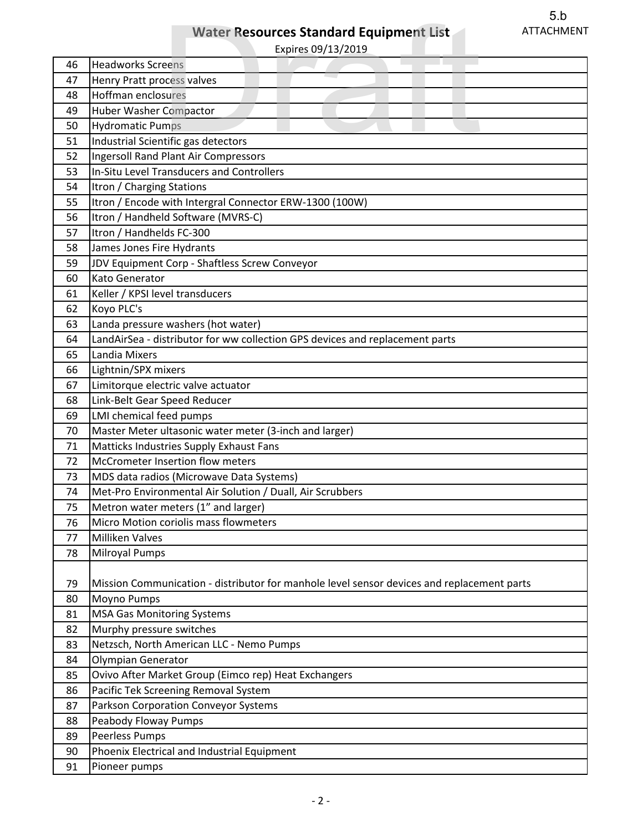# **Water Resources Standard Equipment List**

|    | 5.b                                                                                        |  |  |  |  |  |
|----|--------------------------------------------------------------------------------------------|--|--|--|--|--|
|    | <b>ATTACHMENT</b><br><b>Water Resources Standard Equipment List</b>                        |  |  |  |  |  |
|    | Expires 09/13/2019                                                                         |  |  |  |  |  |
| 46 | <b>Headworks Screens</b>                                                                   |  |  |  |  |  |
| 47 | Henry Pratt process valves                                                                 |  |  |  |  |  |
| 48 | Hoffman enclosures                                                                         |  |  |  |  |  |
| 49 | <b>Huber Washer Compactor</b>                                                              |  |  |  |  |  |
| 50 | <b>Hydromatic Pumps</b>                                                                    |  |  |  |  |  |
| 51 | Industrial Scientific gas detectors                                                        |  |  |  |  |  |
| 52 | <b>Ingersoll Rand Plant Air Compressors</b>                                                |  |  |  |  |  |
| 53 | In-Situ Level Transducers and Controllers                                                  |  |  |  |  |  |
| 54 | Itron / Charging Stations                                                                  |  |  |  |  |  |
| 55 | Itron / Encode with Intergral Connector ERW-1300 (100W)                                    |  |  |  |  |  |
| 56 | Itron / Handheld Software (MVRS-C)                                                         |  |  |  |  |  |
| 57 | Itron / Handhelds FC-300                                                                   |  |  |  |  |  |
| 58 | James Jones Fire Hydrants                                                                  |  |  |  |  |  |
| 59 | JDV Equipment Corp - Shaftless Screw Conveyor                                              |  |  |  |  |  |
| 60 | Kato Generator                                                                             |  |  |  |  |  |
| 61 | Keller / KPSI level transducers                                                            |  |  |  |  |  |
| 62 | Koyo PLC's                                                                                 |  |  |  |  |  |
| 63 | Landa pressure washers (hot water)                                                         |  |  |  |  |  |
| 64 | LandAirSea - distributor for ww collection GPS devices and replacement parts               |  |  |  |  |  |
| 65 | Landia Mixers                                                                              |  |  |  |  |  |
| 66 | Lightnin/SPX mixers                                                                        |  |  |  |  |  |
| 67 | Limitorque electric valve actuator                                                         |  |  |  |  |  |
| 68 | Link-Belt Gear Speed Reducer                                                               |  |  |  |  |  |
| 69 | LMI chemical feed pumps                                                                    |  |  |  |  |  |
| 70 | Master Meter ultasonic water meter (3-inch and larger)                                     |  |  |  |  |  |
| 71 | Matticks Industries Supply Exhaust Fans                                                    |  |  |  |  |  |
| 72 | McCrometer Insertion flow meters                                                           |  |  |  |  |  |
| 73 | MDS data radios (Microwave Data Systems)                                                   |  |  |  |  |  |
| 74 | Met-Pro Environmental Air Solution / Duall, Air Scrubbers                                  |  |  |  |  |  |
| 75 | Metron water meters (1" and larger)                                                        |  |  |  |  |  |
| 76 | Micro Motion coriolis mass flowmeters                                                      |  |  |  |  |  |
| 77 | <b>Milliken Valves</b>                                                                     |  |  |  |  |  |
| 78 | <b>Milroyal Pumps</b>                                                                      |  |  |  |  |  |
|    |                                                                                            |  |  |  |  |  |
| 79 | Mission Communication - distributor for manhole level sensor devices and replacement parts |  |  |  |  |  |
| 80 | Moyno Pumps                                                                                |  |  |  |  |  |
| 81 | <b>MSA Gas Monitoring Systems</b>                                                          |  |  |  |  |  |
| 82 | Murphy pressure switches                                                                   |  |  |  |  |  |
| 83 | Netzsch, North American LLC - Nemo Pumps                                                   |  |  |  |  |  |
| 84 | Olympian Generator                                                                         |  |  |  |  |  |
| 85 | Ovivo After Market Group (Eimco rep) Heat Exchangers                                       |  |  |  |  |  |
| 86 | Pacific Tek Screening Removal System                                                       |  |  |  |  |  |
| 87 | Parkson Corporation Conveyor Systems                                                       |  |  |  |  |  |
| 88 | Peabody Floway Pumps                                                                       |  |  |  |  |  |
| 89 | Peerless Pumps                                                                             |  |  |  |  |  |
| 90 | Phoenix Electrical and Industrial Equipment                                                |  |  |  |  |  |
| 91 | Pioneer pumps                                                                              |  |  |  |  |  |